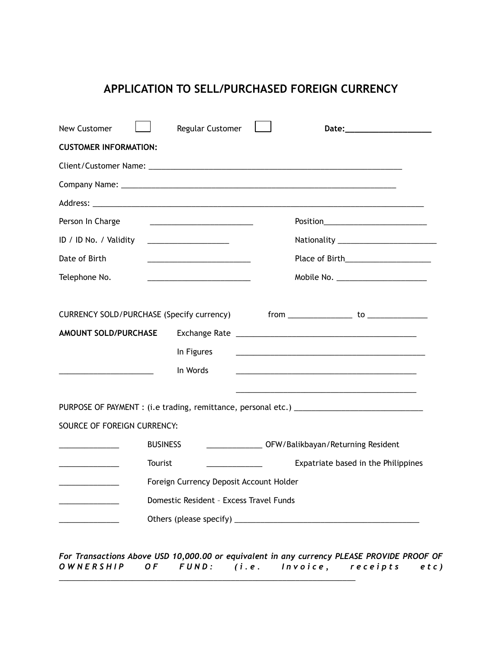# **APPLICATION TO SELL/PURCHASED FOREIGN CURRENCY**

| New Customer                                                                      | Regular Customer                                                                                                     |  |                                                                                                                                                                                                                               |  |
|-----------------------------------------------------------------------------------|----------------------------------------------------------------------------------------------------------------------|--|-------------------------------------------------------------------------------------------------------------------------------------------------------------------------------------------------------------------------------|--|
| <b>CUSTOMER INFORMATION:</b>                                                      |                                                                                                                      |  |                                                                                                                                                                                                                               |  |
|                                                                                   |                                                                                                                      |  |                                                                                                                                                                                                                               |  |
|                                                                                   |                                                                                                                      |  |                                                                                                                                                                                                                               |  |
|                                                                                   |                                                                                                                      |  |                                                                                                                                                                                                                               |  |
| Person In Charge                                                                  |                                                                                                                      |  | Position_____________________________                                                                                                                                                                                         |  |
| ID / ID No. / Validity                                                            | <u> 2002 - Jan James James Barbara, prima popular popular popular popular popular popular popular popular popula</u> |  |                                                                                                                                                                                                                               |  |
| Date of Birth                                                                     |                                                                                                                      |  |                                                                                                                                                                                                                               |  |
| Telephone No.                                                                     |                                                                                                                      |  | Mobile No. ______________________                                                                                                                                                                                             |  |
|                                                                                   |                                                                                                                      |  |                                                                                                                                                                                                                               |  |
| CURRENCY SOLD/PURCHASE (Specify currency)                                         |                                                                                                                      |  |                                                                                                                                                                                                                               |  |
| <b>AMOUNT SOLD/PURCHASE</b>                                                       |                                                                                                                      |  |                                                                                                                                                                                                                               |  |
|                                                                                   | In Figures                                                                                                           |  | the control of the control of the control of the control of the control of the control of the control of the control of the control of the control of the control of the control of the control of the control of the control |  |
| the control of the control of the control of the control of                       | In Words                                                                                                             |  | and the control of the control of the control of the control of the control of the control of the control of the                                                                                                              |  |
|                                                                                   |                                                                                                                      |  |                                                                                                                                                                                                                               |  |
|                                                                                   |                                                                                                                      |  | PURPOSE OF PAYMENT : (i.e trading, remittance, personal etc.) ___________________                                                                                                                                             |  |
| SOURCE OF FOREIGN CURRENCY:                                                       |                                                                                                                      |  |                                                                                                                                                                                                                               |  |
|                                                                                   | <b>BUSINESS</b>                                                                                                      |  | ___________________ OFW/Balikbayan/Returning Resident                                                                                                                                                                         |  |
| Tourist<br>the control of the control of the                                      |                                                                                                                      |  | Expatriate based in the Philippines                                                                                                                                                                                           |  |
| Foreign Currency Deposit Account Holder<br>the control of the control of the con- |                                                                                                                      |  |                                                                                                                                                                                                                               |  |
| Domestic Resident - Excess Travel Funds                                           |                                                                                                                      |  |                                                                                                                                                                                                                               |  |
|                                                                                   |                                                                                                                      |  |                                                                                                                                                                                                                               |  |
|                                                                                   |                                                                                                                      |  |                                                                                                                                                                                                                               |  |

*For Transactions Above USD 10,000.00 or equivalent in any currency PLEASE PROVIDE PROOF OF O* W N ERSHIP OF FUND: (i.e. Invoice, receipts etc) \_\_\_\_\_\_\_\_\_\_\_\_\_\_\_\_\_\_\_\_\_\_\_\_\_\_\_\_\_\_\_\_\_\_\_\_\_\_\_\_\_\_\_\_\_\_\_\_\_\_\_\_\_\_\_\_\_\_\_\_\_\_\_\_\_\_\_\_\_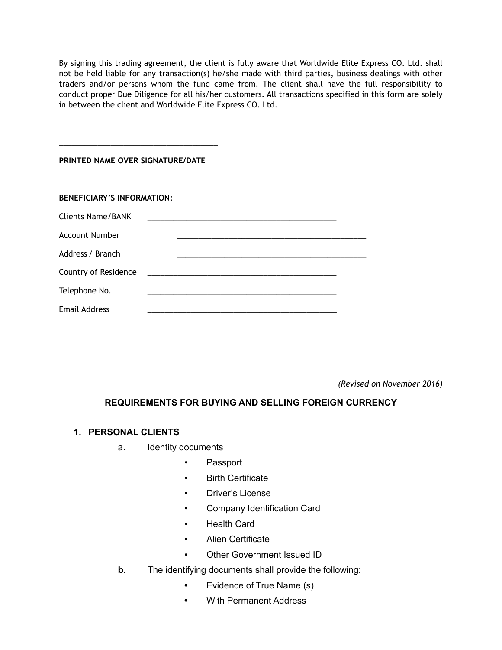By signing this trading agreement, the client is fully aware that Worldwide Elite Express CO. Ltd. shall not be held liable for any transaction(s) he/she made with third parties, business dealings with other traders and/or persons whom the fund came from. The client shall have the full responsibility to conduct proper Due Diligence for all his/her customers. All transactions specified in this form are solely in between the client and Worldwide Elite Express CO. Ltd.

#### **PRINTED NAME OVER SIGNATURE/DATE**

\_\_\_\_\_\_\_\_\_\_\_\_\_\_\_\_\_\_\_\_\_\_\_\_\_\_\_\_\_\_\_\_\_\_\_\_\_

| <b>BENEFICIARY'S INFORMATION:</b> |  |
|-----------------------------------|--|
| Clients Name/BANK                 |  |
| <b>Account Number</b>             |  |
| Address / Branch                  |  |
| Country of Residence              |  |
| Telephone No.                     |  |
| <b>Email Address</b>              |  |

*(Revised on November 2016)*

### **REQUIREMENTS FOR BUYING AND SELLING FOREIGN CURRENCY**

#### **1. PERSONAL CLIENTS**

- a. Identity documents
	- Passport
	- **Birth Certificate**
	- Driver's License
	- Company Identification Card
	- Health Card
	- Alien Certificate
	- Other Government Issued ID
- **b.** The identifying documents shall provide the following:
	- **•** Evidence of True Name (s)
	- **•** With Permanent Address